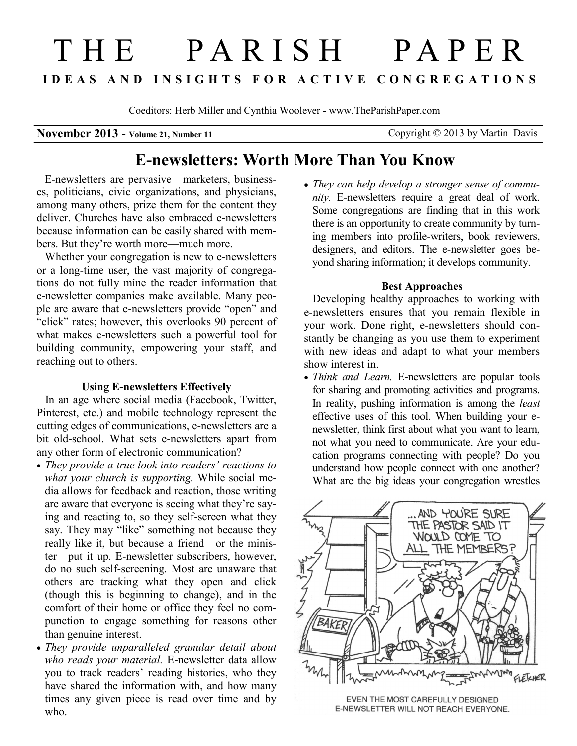# T H E P A R I S H P A P E R **I D E A S A N D I N S I G H T S F O R A C T I V E C O N G R E G A T I O N S**

Coeditors: Herb Miller and Cynthia Woolever - www.TheParishPaper.com

**November 2013 - Volume 21, Number 11** Copyright © 2013 by Martin Davis

# **E-newsletters: Worth More Than You Know**

 E-newsletters are pervasive—marketers, businesses, politicians, civic organizations, and physicians, among many others, prize them for the content they deliver. Churches have also embraced e-newsletters because information can be easily shared with members. But they're worth more—much more.

Whether your congregation is new to e-newsletters or a long-time user, the vast majority of congregations do not fully mine the reader information that e-newsletter companies make available. Many people are aware that e-newsletters provide "open" and "click" rates; however, this overlooks 90 percent of what makes e-newsletters such a powerful tool for building community, empowering your staff, and reaching out to others.

# **Using E-newsletters Effectively**

 In an age where social media (Facebook, Twitter, Pinterest, etc.) and mobile technology represent the cutting edges of communications, e-newsletters are a bit old-school. What sets e-newsletters apart from any other form of electronic communication?

- *They provide a true look into readers' reactions to what your church is supporting.* While social media allows for feedback and reaction, those writing are aware that everyone is seeing what they're saying and reacting to, so they self-screen what they say. They may "like" something not because they really like it, but because a friend—or the minister—put it up. E-newsletter subscribers, however, do no such self-screening. Most are unaware that others are tracking what they open and click (though this is beginning to change), and in the comfort of their home or office they feel no compunction to engage something for reasons other than genuine interest.
- *They provide unparalleled granular detail about who reads your material.* E-newsletter data allow you to track readers' reading histories, who they have shared the information with, and how many times any given piece is read over time and by who.

 *They can help develop a stronger sense of community.* E-newsletters require a great deal of work. Some congregations are finding that in this work there is an opportunity to create community by turning members into profile-writers, book reviewers, designers, and editors. The e-newsletter goes beyond sharing information; it develops community.

# **Best Approaches**

 Developing healthy approaches to working with e-newsletters ensures that you remain flexible in your work. Done right, e-newsletters should constantly be changing as you use them to experiment with new ideas and adapt to what your members show interest in.

 *Think and Learn.* E-newsletters are popular tools for sharing and promoting activities and programs. In reality, pushing information is among the *least* effective uses of this tool. When building your enewsletter, think first about what you want to learn, not what you need to communicate. Are your education programs connecting with people? Do you understand how people connect with one another? What are the big ideas your congregation wrestles



EVEN THE MOST CAREFULLY DESIGNED E-NEWSLETTER WILL NOT REACH EVERYONE.